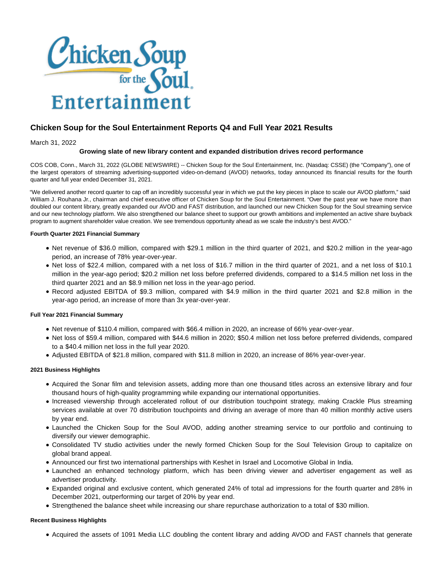

# **Chicken Soup for the Soul Entertainment Reports Q4 and Full Year 2021 Results**

March 31, 2022

### **Growing slate of new library content and expanded distribution drives record performance**

COS COB, Conn., March 31, 2022 (GLOBE NEWSWIRE) -- Chicken Soup for the Soul Entertainment, Inc. (Nasdaq: CSSE) (the "Company"), one of the largest operators of streaming advertising-supported video-on-demand (AVOD) networks, today announced its financial results for the fourth quarter and full year ended December 31, 2021.

"We delivered another record quarter to cap off an incredibly successful year in which we put the key pieces in place to scale our AVOD platform," said William J. Rouhana Jr., chairman and chief executive officer of Chicken Soup for the Soul Entertainment. "Over the past year we have more than doubled our content library, greatly expanded our AVOD and FAST distribution, and launched our new Chicken Soup for the Soul streaming service and our new technology platform. We also strengthened our balance sheet to support our growth ambitions and implemented an active share buyback program to augment shareholder value creation. We see tremendous opportunity ahead as we scale the industry's best AVOD."

#### **Fourth Quarter 2021 Financial Summary**

- Net revenue of \$36.0 million, compared with \$29.1 million in the third quarter of 2021, and \$20.2 million in the year-ago period, an increase of 78% year-over-year.
- Net loss of \$22.4 million, compared with a net loss of \$16.7 million in the third quarter of 2021, and a net loss of \$10.1 million in the year-ago period; \$20.2 million net loss before preferred dividends, compared to a \$14.5 million net loss in the third quarter 2021 and an \$8.9 million net loss in the year-ago period.
- Record adjusted EBITDA of \$9.3 million, compared with \$4.9 million in the third quarter 2021 and \$2.8 million in the year-ago period, an increase of more than 3x year-over-year.

#### **Full Year 2021 Financial Summary**

- Net revenue of \$110.4 million, compared with \$66.4 million in 2020, an increase of 66% year-over-year.
- Net loss of \$59.4 million, compared with \$44.6 million in 2020; \$50.4 million net loss before preferred dividends, compared to a \$40.4 million net loss in the full year 2020.
- Adjusted EBITDA of \$21.8 million, compared with \$11.8 million in 2020, an increase of 86% year-over-year.

#### **2021 Business Highlights**

- Acquired the Sonar film and television assets, adding more than one thousand titles across an extensive library and four thousand hours of high-quality programming while expanding our international opportunities.
- Increased viewership through accelerated rollout of our distribution touchpoint strategy, making Crackle Plus streaming services available at over 70 distribution touchpoints and driving an average of more than 40 million monthly active users by year end.
- Launched the Chicken Soup for the Soul AVOD, adding another streaming service to our portfolio and continuing to diversify our viewer demographic.
- Consolidated TV studio activities under the newly formed Chicken Soup for the Soul Television Group to capitalize on global brand appeal.
- Announced our first two international partnerships with Keshet in Israel and Locomotive Global in India.
- Launched an enhanced technology platform, which has been driving viewer and advertiser engagement as well as advertiser productivity.
- Expanded original and exclusive content, which generated 24% of total ad impressions for the fourth quarter and 28% in December 2021, outperforming our target of 20% by year end.
- Strengthened the balance sheet while increasing our share repurchase authorization to a total of \$30 million.

### **Recent Business Highlights**

Acquired the assets of 1091 Media LLC doubling the content library and adding AVOD and FAST channels that generate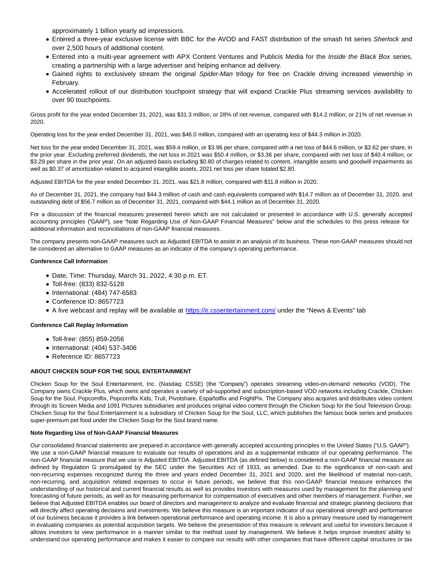approximately 1 billion yearly ad impressions.

- Entered a three-year exclusive license with BBC for the AVOD and FAST distribution of the smash hit series Sherlock and over 2,500 hours of additional content.
- Entered into a multi-year agreement with APX Content Ventures and Publicis Media for the *Inside the Black Box* series, creating a partnership with a large advertiser and helping enhance ad delivery.
- Gained rights to exclusively stream the original Spider-Man trilogy for free on Crackle driving increased viewership in February.
- Accelerated rollout of our distribution touchpoint strategy that will expand Crackle Plus streaming services availability to over 90 touchpoints.

Gross profit for the year ended December 31, 2021, was \$31.3 million, or 28% of net revenue, compared with \$14.2 million, or 21% of net revenue in 2020.

Operating loss for the year ended December 31, 2021, was \$46.0 million, compared with an operating loss of \$44.3 million in 2020.

Net loss for the year ended December 31, 2021, was \$59.4 million, or \$3.96 per share, compared with a net loss of \$44.6 million, or \$3.62 per share, in the prior year. Excluding preferred dividends, the net loss in 2021 was \$50.4 million, or \$3.36 per share, compared with net loss of \$40.4 million, or \$3.29 per share in the prior year. On an adjusted basis excluding \$0.80 of charges related to content, intangible assets and goodwill impairments as well as \$0.37 of amortization related to acquired intangible assets, 2021 net loss per share totaled \$2.80.

Adjusted EBITDA for the year ended December 31, 2021, was \$21.8 million, compared with \$11.8 million in 2020.

As of December 31, 2021, the company had \$44.3 million of cash and cash equivalents compared with \$14.7 million as of December 31, 2020, and outstanding debt of \$56.7 million as of December 31, 2021, compared with \$44.1 million as of December 31, 2020.

For a discussion of the financial measures presented herein which are not calculated or presented in accordance with U.S. generally accepted accounting principles ("GAAP"), see "Note Regarding Use of Non-GAAP Financial Measures" below and the schedules to this press release for additional information and reconciliations of non-GAAP financial measures.

The company presents non-GAAP measures such as Adjusted EBITDA to assist in an analysis of its business. These non-GAAP measures should not be considered an alternative to GAAP measures as an indicator of the company's operating performance.

#### **Conference Call Information**

- Date, Time: Thursday, March 31, 2022, 4:30 p.m. ET.
- Toll-free: (833) 832-5128
- $\bullet$  International: (484) 747-6583
- Conference ID: 8657723
- A live webcast and replay will be available at [https://ir.cssentertainment.com/ u](https://ir.cssentertainment.com/)nder the "News & Events" tab

#### **Conference Call Replay Information**

- Toll-free: (855) 859-2056
- $\bullet$  International: (404) 537-3406
- Reference ID: 8657723

#### **ABOUT CHICKEN SOUP FOR THE SOUL ENTERTAINMENT**

Chicken Soup for the Soul Entertainment, Inc. (Nasdaq: CSSE) (the "Company") operates streaming video-on-demand networks (VOD). The Company owns Crackle Plus, which owns and operates a variety of ad-supported and subscription-based VOD networks including Crackle, Chicken Soup for the Soul, Popcornflix, Popcornflix Kids, Truli, Pivotshare, Españolflix and FrightPix. The Company also acquires and distributes video content through its Screen Media and 1091 Pictures subsidiaries and produces original video content through the Chicken Soup for the Soul Television Group. Chicken Soup for the Soul Entertainment is a subsidiary of Chicken Soup for the Soul, LLC, which publishes the famous book series and produces super-premium pet food under the Chicken Soup for the Soul brand name.

#### **Note Regarding Use of Non-GAAP Financial Measures**

Our consolidated financial statements are prepared in accordance with generally accepted accounting principles in the United States ("U.S. GAAP"). We use a non-GAAP financial measure to evaluate our results of operations and as a supplemental indicator of our operating performance. The non-GAAP financial measure that we use is Adjusted EBITDA. Adjusted EBITDA (as defined below) is considered a non-GAAP financial measure as defined by Regulation G promulgated by the SEC under the Securities Act of 1933, as amended. Due to the significance of non-cash and non-recurring expenses recognized during the three and years ended December 31, 2021 and 2020, and the likelihood of material non-cash, non-recurring, and acquisition related expenses to occur in future periods, we believe that this non-GAAP financial measure enhances the understanding of our historical and current financial results as well as provides investors with measures used by management for the planning and forecasting of future periods, as well as for measuring performance for compensation of executives and other members of management. Further, we believe that Adjusted EBITDA enables our board of directors and management to analyze and evaluate financial and strategic planning decisions that will directly affect operating decisions and investments. We believe this measure is an important indicator of our operational strength and performance of our business because it provides a link between operational performance and operating income. It is also a primary measure used by management in evaluating companies as potential acquisition targets. We believe the presentation of this measure is relevant and useful for investors because it allows investors to view performance in a manner similar to the method used by management. We believe it helps improve investors' ability to understand our operating performance and makes it easier to compare our results with other companies that have different capital structures or tax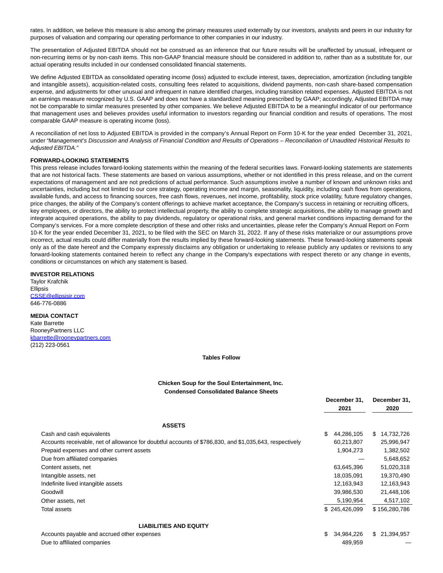rates. In addition, we believe this measure is also among the primary measures used externally by our investors, analysts and peers in our industry for purposes of valuation and comparing our operating performance to other companies in our industry.

The presentation of Adjusted EBITDA should not be construed as an inference that our future results will be unaffected by unusual, infrequent or non-recurring items or by non-cash items. This non-GAAP financial measure should be considered in addition to, rather than as a substitute for, our actual operating results included in our condensed consolidated financial statements.

We define Adjusted EBITDA as consolidated operating income (loss) adjusted to exclude interest, taxes, depreciation, amortization (including tangible and intangible assets), acquisition-related costs, consulting fees related to acquisitions, dividend payments, non-cash share-based compensation expense, and adjustments for other unusual and infrequent in nature identified charges, including transition related expenses. Adjusted EBITDA is not an earnings measure recognized by U.S. GAAP and does not have a standardized meaning prescribed by GAAP; accordingly, Adjusted EBITDA may not be comparable to similar measures presented by other companies. We believe Adjusted EBITDA to be a meaningful indicator of our performance that management uses and believes provides useful information to investors regarding our financial condition and results of operations. The most comparable GAAP measure is operating income (loss).

A reconciliation of net loss to Adjusted EBITDA is provided in the company's Annual Report on Form 10-K for the year ended December 31, 2021, under "Management's Discussion and Analysis of Financial Condition and Results of Operations – Reconciliation of Unaudited Historical Results to Adjusted EBITDA."

### **FORWARD-LOOKING STATEMENTS**

This press release includes forward-looking statements within the meaning of the federal securities laws. Forward-looking statements are statements that are not historical facts. These statements are based on various assumptions, whether or not identified in this press release, and on the current expectations of management and are not predictions of actual performance. Such assumptions involve a number of known and unknown risks and uncertainties, including but not limited to our core strategy, operating income and margin, seasonality, liquidity, including cash flows from operations, available funds, and access to financing sources, free cash flows, revenues, net income, profitability, stock price volatility, future regulatory changes, price changes, the ability of the Company's content offerings to achieve market acceptance, the Company's success in retaining or recruiting officers, key employees, or directors, the ability to protect intellectual property, the ability to complete strategic acquisitions, the ability to manage growth and integrate acquired operations, the ability to pay dividends, regulatory or operational risks, and general market conditions impacting demand for the Company's services. For a more complete description of these and other risks and uncertainties, please refer the Company's Annual Report on Form 10-K for the year ended December 31, 2021, to be filed with the SEC on March 31, 2022. If any of these risks materialize or our assumptions prove incorrect, actual results could differ materially from the results implied by these forward-looking statements. These forward-looking statements speak only as of the date hereof and the Company expressly disclaims any obligation or undertaking to release publicly any updates or revisions to any forward-looking statements contained herein to reflect any change in the Company's expectations with respect thereto or any change in events, conditions or circumstances on which any statement is based.

#### **INVESTOR RELATIONS**

Taylor Krafchik Ellipsis [CSSE@ellipsisir.com](https://www.globenewswire.com/Tracker?data=3ydDsVM08hX4Lqax38miYnIsdyF60CEIYzVayFDAFt2vrijPpVr1shjrrXBqCK9V83t0tllWjgYRHXeypkjSLKjfkdOFTKkj2zoRVxbfhfU=) 646-776-0886

#### **MEDIA CONTACT**

Kate Barrette RooneyPartners LLC [kbarrette@rooneypartners.com](https://www.globenewswire.com/Tracker?data=yrpUtuZAEnI5OIpZjJJYWl9bO_UxbZ3u3j5vQQb3Xj6CdH6e1Vkef7yVVrx7fhJQ4PZEFr9y8eySebQtD1MOpUCF9jRAKPAfd8KX2C_DcnayPMyjzuI_WWXui-h-Hns_) (212) 223-0561

### **Tables Follow**

## **Chicken Soup for the Soul Entertainment, Inc. Condensed Consolidated Balance Sheets**

|                                                                                                         | December 31.<br>2021 | December 31,<br>2020 |  |
|---------------------------------------------------------------------------------------------------------|----------------------|----------------------|--|
| <b>ASSETS</b>                                                                                           |                      |                      |  |
| Cash and cash equivalents                                                                               | \$<br>44,286,105     | 14,732,726<br>S.     |  |
| Accounts receivable, net of allowance for doubtful accounts of \$786,830, and \$1,035,643, respectively | 60,213,807           | 25,996,947           |  |
| Prepaid expenses and other current assets                                                               | 1,904,273            | 1,382,502            |  |
| Due from affiliated companies                                                                           |                      | 5,648,652            |  |
| Content assets, net                                                                                     | 63,645,396           | 51,020,318           |  |
| Intangible assets, net                                                                                  | 18,035,091           | 19,370,490           |  |
| Indefinite lived intangible assets                                                                      | 12,163,943           | 12,163,943           |  |
| Goodwill                                                                                                | 39,986,530           | 21,448,106           |  |
| Other assets, net                                                                                       | 5,190,954            | 4,517,102            |  |
| Total assets                                                                                            | \$245,426,099        | \$156,280,786        |  |
| <b>LIABILITIES AND EQUITY</b>                                                                           |                      |                      |  |
| Accounts payable and accrued other expenses                                                             | \$<br>34,984,226     | 21,394,957<br>\$.    |  |
| Due to affiliated companies                                                                             | 489.959              |                      |  |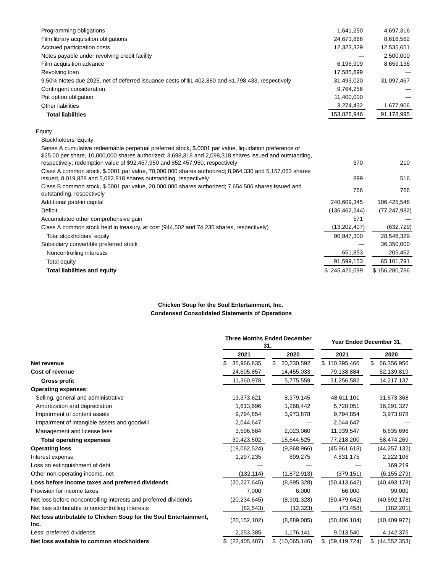| Programming obligations                                                                                                                                                                  | 1,641,250       | 4,697,316      |
|------------------------------------------------------------------------------------------------------------------------------------------------------------------------------------------|-----------------|----------------|
| Film library acquisition obligations                                                                                                                                                     | 24,673,866      | 8,616,562      |
| Accrued participation costs                                                                                                                                                              | 12,323,329      | 12,535,651     |
| Notes payable under revolving credit facility                                                                                                                                            |                 | 2,500,000      |
| Film acquisition advance                                                                                                                                                                 | 6,196,909       | 8,659,136      |
| Revolving loan                                                                                                                                                                           | 17,585,699      |                |
| 9.50% Notes due 2025, net of deferred issuance costs of \$1,402,880 and \$1,798,433, respectively                                                                                        | 31,493,020      | 31,097,467     |
| Contingent consideration                                                                                                                                                                 | 9,764,256       |                |
| Put option obligation                                                                                                                                                                    | 11,400,000      |                |
| Other liabilities                                                                                                                                                                        | 3,274,432       | 1,677,906      |
| <b>Total liabilities</b>                                                                                                                                                                 | 153,826,946     | 91,178,995     |
| Equity                                                                                                                                                                                   |                 |                |
| Stockholders' Equity:                                                                                                                                                                    |                 |                |
| Series A cumulative redeemable perpetual preferred stock, \$.0001 par value, liquidation preference of                                                                                   |                 |                |
| \$25.00 per share, 10,000,000 shares authorized; 3,698,318 and 2,098,318 shares issued and outstanding,<br>respectively; redemption value of \$92,457,950 and \$52,457,950, respectively | 370             | 210            |
| Class A common stock, \$.0001 par value, 70,000,000 shares authorized; 8,964,330 and 5,157,053 shares                                                                                    |                 |                |
| issued, 8,019,828 and 5,082,818 shares outstanding, respectively                                                                                                                         | 899             | 516            |
| Class B common stock, \$.0001 par value, 20,000,000 shares authorized; 7,654,506 shares issued and<br>outstanding, respectively                                                          | 766             | 766            |
| Additional paid-in capital                                                                                                                                                               | 240,609,345     | 106,425,548    |
| Deficit                                                                                                                                                                                  | (136, 462, 244) | (77, 247, 982) |
| Accumulated other comprehensive gain                                                                                                                                                     | 571             |                |
| Class A common stock held in treasury, at cost (944,502 and 74,235 shares, respectively)                                                                                                 | (13,202,407)    | (632, 729)     |
| Total stockholders' equity                                                                                                                                                               | 90,947,300      | 28,546,329     |
| Subsidiary convertible preferred stock                                                                                                                                                   |                 | 36,350,000     |
| Noncontrolling interests                                                                                                                                                                 | 651,853         | 205,462        |
| Total equity                                                                                                                                                                             | 91,599,153      | 65,101,791     |
| <b>Total liabilities and equity</b>                                                                                                                                                      | \$245,426,099   | \$156,280,786  |

## **Chicken Soup for the Soul Entertainment, Inc. Condensed Consolidated Statements of Operations**

|                                                                           |                 | <b>Three Months Ended December</b><br>31. |                      | Year Ended December 31, |  |  |  |
|---------------------------------------------------------------------------|-----------------|-------------------------------------------|----------------------|-------------------------|--|--|--|
|                                                                           | 2021            | 2020                                      | 2021                 | 2020                    |  |  |  |
| Net revenue                                                               | 35,966,835      | \$<br>20,230,592                          | \$110,395,466        | \$<br>66,356,956        |  |  |  |
| <b>Cost of revenue</b>                                                    | 24,605,857      | 14,455,033                                | 79,138,884           | 52,139,819              |  |  |  |
| <b>Gross profit</b>                                                       | 11,360,978      | 5,775,559                                 | 31,256,582           | 14,217,137              |  |  |  |
| <b>Operating expenses:</b>                                                |                 |                                           |                      |                         |  |  |  |
| Selling, general and administrative                                       | 13,373,621      | 8,379,145                                 | 48,611,101           | 31,573,368              |  |  |  |
| Amortization and depreciation                                             | 1,613,696       | 1,268,442                                 | 5,728,051            | 16,291,327              |  |  |  |
| Impairment of content assets                                              | 9,794,854       | 3,973,878                                 | 9,794,854            | 3,973,878               |  |  |  |
| Impairment of intangible assets and goodwill                              | 2,044,647       |                                           | 2,044,647            |                         |  |  |  |
| Management and license fees                                               | 3,596,684       | 2,023,060                                 | 11,039,547           | 6,635,696               |  |  |  |
| <b>Total operating expenses</b>                                           | 30,423,502      | 15,644,525                                | 77,218,200           | 58,474,269              |  |  |  |
| <b>Operating loss</b>                                                     | (19,062,524)    | (9,868,966)                               | (45,961,618)         | (44, 257, 132)          |  |  |  |
| Interest expense                                                          | 1,297,235       | 899,275                                   | 4,831,175            | 2,222,106               |  |  |  |
| Loss on extinguishment of debt                                            |                 |                                           |                      | 169,219                 |  |  |  |
| Other non-operating income, net                                           | (132, 114)      | (1,872,913)                               | (379, 151)           | (6, 155, 279)           |  |  |  |
| Loss before income taxes and preferred dividends                          | (20, 227, 645)  | (8,895,328)                               | (50, 413, 642)       | (40, 493, 178)          |  |  |  |
| Provision for income taxes                                                | 7,000           | 6,000                                     | 66,000               | 99,000                  |  |  |  |
| Net loss before noncontrolling interests and preferred dividends          | (20, 234, 645)  | (8,901,328)                               | (50, 479, 642)       | (40, 592, 178)          |  |  |  |
| Net loss attributable to noncontrolling interests                         | (82, 543)       | (12, 323)                                 | (73, 458)            | (182,201)               |  |  |  |
| Net loss attributable to Chicken Soup for the Soul Entertainment,<br>Inc. | (20, 152, 102)  | (8,889,005)                               | (50, 406, 184)       | (40, 409, 977)          |  |  |  |
| Less: preferred dividends                                                 | 2,253,385       | 1,176,141                                 | 9,013,540            | 4,142,376               |  |  |  |
| Net loss available to common stockholders                                 | \$ (22,405,487) | \$<br>(10,065,146)                        | \$<br>(59, 419, 724) | \$ (44, 552, 353)       |  |  |  |